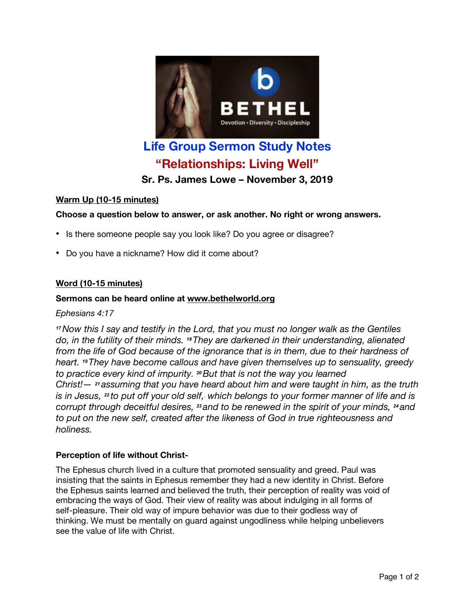

# **Life Group Sermon Study Notes "Relationships: Living Well"**

**Sr. Ps. James Lowe – November 3, 2019**

# **Warm Up (10-15 minutes)**

# **Choose a question below to answer, or ask another. No right or wrong answers.**

- Is there someone people say you look like? Do you agree or disagree?
- Do you have a nickname? How did it come about?

## **Word (10-15 minutes)**

## **Sermons can be heard online at www.bethelworld.org**

*Ephesians 4:17*

*<sup>17</sup>Now this I say and testify in the Lord, that you must no longer walk as the Gentiles do, in the futility of their minds. <sup>18</sup>They are darkened in their understanding, alienated from the life of God because of the ignorance that is in them, due to their hardness of heart. <sup>19</sup>They have become callous and have given themselves up to sensuality, greedy to practice every kind of impurity. <sup>20</sup>But that is not the way you learned Christ!— <sup>21</sup> assuming that you have heard about him and were taught in him, as the truth* is in Jesus, 22 to put off your old self, which belongs to your former manner of life and is *corrupt through deceitful desires, <sup>23</sup> and to be renewed in the spirit of your minds, <sup>24</sup> and to put on the new self, created after the likeness of God in true righteousness and holiness.*

## **Perception of life without Christ-**

The Ephesus church lived in a culture that promoted sensuality and greed. Paul was insisting that the saints in Ephesus remember they had a new identity in Christ. Before the Ephesus saints learned and believed the truth, their perception of reality was void of embracing the ways of God. Their view of reality was about indulging in all forms of self-pleasure. Their old way of impure behavior was due to their godless way of thinking. We must be mentally on guard against ungodliness while helping unbelievers see the value of life with Christ.